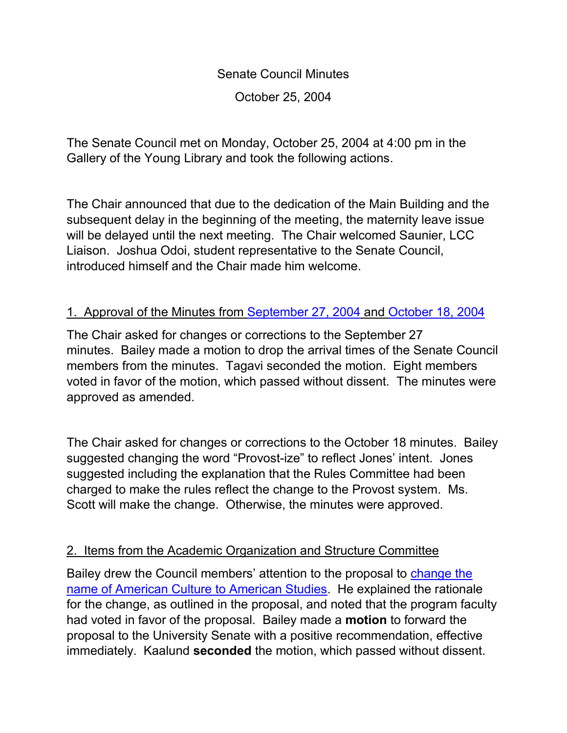Senate Council Minutes October 25, 2004

The Senate Council met on Monday, October 25, 2004 at 4:00 pm in the Gallery of the Young Library and took the following actions.

The Chair announced that due to the dedication of the Main Building and the subsequent delay in the beginning of the meeting, the maternity leave issue will be delayed until the next meeting. The Chair welcomed Saunier, LCC Liaison. Joshua Odoi, student representative to the Senate Council, introduced himself and the Chair made him welcome.

## 1. Approval of the Minutes from [September 27, 2004](http://www.uky.edu/USC/New/SCMinutes/SC%20Meeting%20Sept%20%2027%20%20Final.htm) and [October 18, 2004](http://www.uky.edu/USC/New/SCMinutes/SC%20Minutes%20Oct%2018%202004.htm)

The Chair asked for changes or corrections to the September 27 minutes. Bailey made a motion to drop the arrival times of the Senate Council members from the minutes. Tagavi seconded the motion. Eight members voted in favor of the motion, which passed without dissent. The minutes were approved as amended.

The Chair asked for changes or corrections to the October 18 minutes. Bailey suggested changing the word "Provost-ize" to reflect Jones' intent. Jones suggested including the explanation that the Rules Committee had been charged to make the rules reflect the change to the Provost system. Ms. Scott will make the change. Otherwise, the minutes were approved.

## 2. Items from the Academic Organization and Structure Committee

Bailey drew the Council members' attention to the proposal to [change the](http://www.uky.edu/USC/Comms/AOS/04-05/American%20Culture%20Program.pdf)  [name of American Culture to American Studies.](http://www.uky.edu/USC/Comms/AOS/04-05/American%20Culture%20Program.pdf) He explained the rationale for the change, as outlined in the proposal, and noted that the program faculty had voted in favor of the proposal. Bailey made a **motion** to forward the proposal to the University Senate with a positive recommendation, effective immediately. Kaalund **seconded** the motion, which passed without dissent.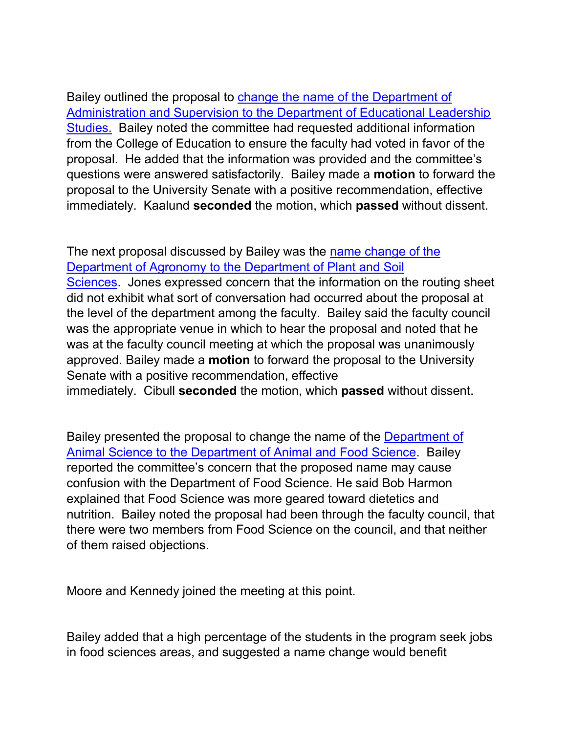Bailey outlined the proposal to [change the name of the Department of](http://www.uky.edu/USC/Comms/AOS/04-05/Dept.%20of%20Administration%20&%20Supervision.pdf)  [Administration and Supervision to the Department of Educational Leadership](http://www.uky.edu/USC/Comms/AOS/04-05/Dept.%20of%20Administration%20&%20Supervision.pdf)  [Studies.](http://www.uky.edu/USC/Comms/AOS/04-05/Dept.%20of%20Administration%20&%20Supervision.pdf) Bailey noted the committee had requested additional information from the College of Education to ensure the faculty had voted in favor of the proposal. He added that the information was provided and the committee's questions were answered satisfactorily. Bailey made a **motion** to forward the proposal to the University Senate with a positive recommendation, effective immediately. Kaalund **seconded** the motion, which **passed** without dissent.

The next proposal discussed by Bailey was the [name change of the](http://www.uky.edu/USC/Comms/AOS/04-05/Names%20Changes%20from%20College%20of%20Ag1.pdf)  [Department of Agronomy to the Department of Plant and Soil](http://www.uky.edu/USC/Comms/AOS/04-05/Names%20Changes%20from%20College%20of%20Ag1.pdf) 

[Sciences.](http://www.uky.edu/USC/Comms/AOS/04-05/Names%20Changes%20from%20College%20of%20Ag1.pdf) Jones expressed concern that the information on the routing sheet did not exhibit what sort of conversation had occurred about the proposal at the level of the department among the faculty. Bailey said the faculty council was the appropriate venue in which to hear the proposal and noted that he was at the faculty council meeting at which the proposal was unanimously approved. Bailey made a **motion** to forward the proposal to the University Senate with a positive recommendation, effective immediately. Cibull **seconded** the motion, which **passed** without dissent.

Bailey presented the proposal to change the name of the [Department of](http://www.uky.edu/USC/Comms/AOS/04-05/Names%20Changes%20from%20College%20of%20Ag1.pdf)  [Animal Science to the Department of Animal and Food Science.](http://www.uky.edu/USC/Comms/AOS/04-05/Names%20Changes%20from%20College%20of%20Ag1.pdf) Bailey reported the committee's concern that the proposed name may cause confusion with the Department of Food Science. He said Bob Harmon explained that Food Science was more geared toward dietetics and nutrition. Bailey noted the proposal had been through the faculty council, that there were two members from Food Science on the council, and that neither of them raised objections.

Moore and Kennedy joined the meeting at this point.

Bailey added that a high percentage of the students in the program seek jobs in food sciences areas, and suggested a name change would benefit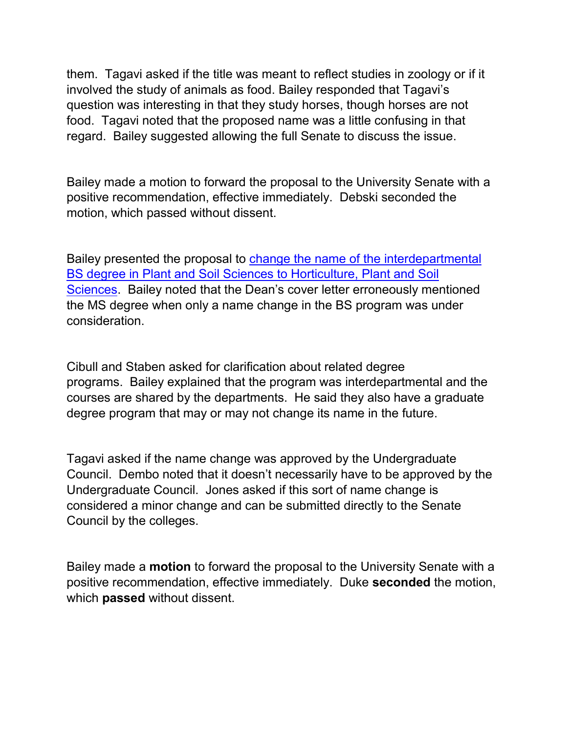them. Tagavi asked if the title was meant to reflect studies in zoology or if it involved the study of animals as food. Bailey responded that Tagavi's question was interesting in that they study horses, though horses are not food. Tagavi noted that the proposed name was a little confusing in that regard. Bailey suggested allowing the full Senate to discuss the issue.

Bailey made a motion to forward the proposal to the University Senate with a positive recommendation, effective immediately. Debski seconded the motion, which passed without dissent.

Bailey presented the proposal to [change the name of the interdepartmental](http://www.uky.edu/USC/Comms/AOS/04-05/Names%20Changes%20from%20College%20of%20Ag1.pdf)  [BS degree in Plant and Soil Sciences to Horticulture, Plant and Soil](http://www.uky.edu/USC/Comms/AOS/04-05/Names%20Changes%20from%20College%20of%20Ag1.pdf)  [Sciences.](http://www.uky.edu/USC/Comms/AOS/04-05/Names%20Changes%20from%20College%20of%20Ag1.pdf) Bailey noted that the Dean's cover letter erroneously mentioned the MS degree when only a name change in the BS program was under consideration.

Cibull and Staben asked for clarification about related degree programs. Bailey explained that the program was interdepartmental and the courses are shared by the departments. He said they also have a graduate degree program that may or may not change its name in the future.

Tagavi asked if the name change was approved by the Undergraduate Council. Dembo noted that it doesn't necessarily have to be approved by the Undergraduate Council. Jones asked if this sort of name change is considered a minor change and can be submitted directly to the Senate Council by the colleges.

Bailey made a **motion** to forward the proposal to the University Senate with a positive recommendation, effective immediately. Duke **seconded** the motion, which **passed** without dissent.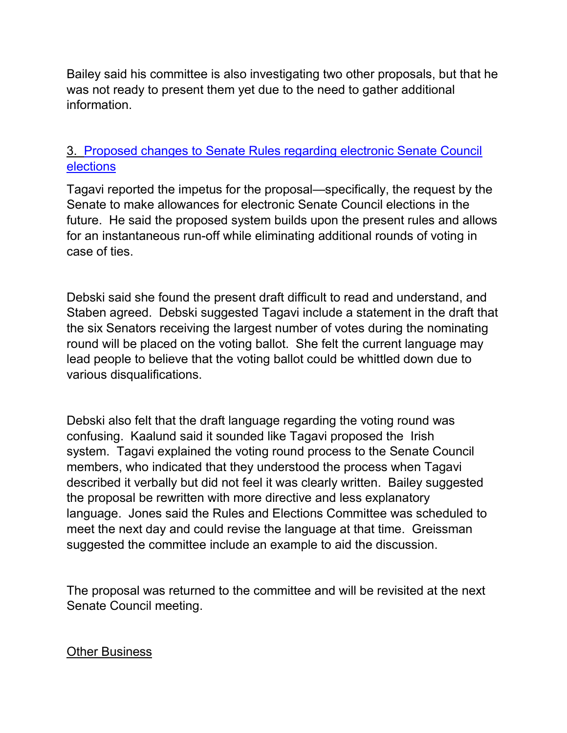Bailey said his committee is also investigating two other proposals, but that he was not ready to present them yet due to the need to gather additional information.

## 3. [Proposed changes to Senate Rules regarding electronic Senate Council](http://www.uky.edu/USC/New/SCAgendas/20041025/sc%20elections-v6-sub%20to%20SC.doc)  [elections](http://www.uky.edu/USC/New/SCAgendas/20041025/sc%20elections-v6-sub%20to%20SC.doc)

Tagavi reported the impetus for the proposal—specifically, the request by the Senate to make allowances for electronic Senate Council elections in the future. He said the proposed system builds upon the present rules and allows for an instantaneous run-off while eliminating additional rounds of voting in case of ties.

Debski said she found the present draft difficult to read and understand, and Staben agreed. Debski suggested Tagavi include a statement in the draft that the six Senators receiving the largest number of votes during the nominating round will be placed on the voting ballot. She felt the current language may lead people to believe that the voting ballot could be whittled down due to various disqualifications.

Debski also felt that the draft language regarding the voting round was confusing. Kaalund said it sounded like Tagavi proposed the Irish system. Tagavi explained the voting round process to the Senate Council members, who indicated that they understood the process when Tagavi described it verbally but did not feel it was clearly written. Bailey suggested the proposal be rewritten with more directive and less explanatory language. Jones said the Rules and Elections Committee was scheduled to meet the next day and could revise the language at that time. Greissman suggested the committee include an example to aid the discussion.

The proposal was returned to the committee and will be revisited at the next Senate Council meeting.

## Other Business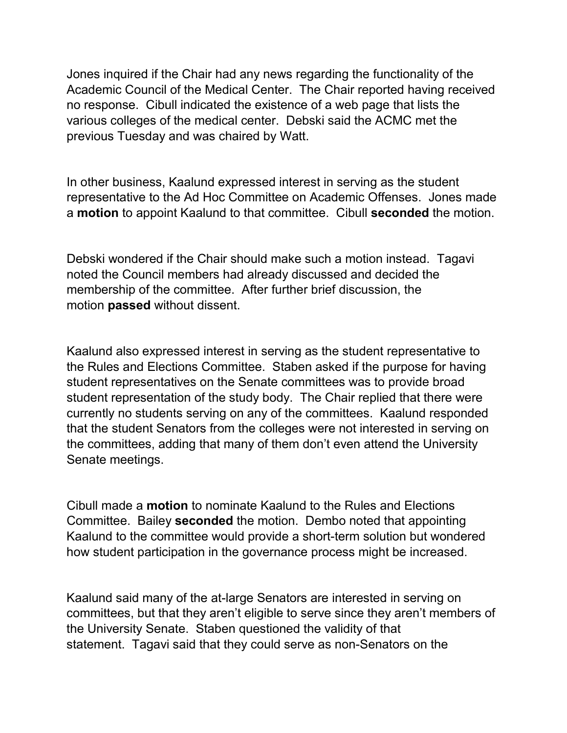Jones inquired if the Chair had any news regarding the functionality of the Academic Council of the Medical Center. The Chair reported having received no response. Cibull indicated the existence of a web page that lists the various colleges of the medical center. Debski said the ACMC met the previous Tuesday and was chaired by Watt.

In other business, Kaalund expressed interest in serving as the student representative to the Ad Hoc Committee on Academic Offenses. Jones made a **motion** to appoint Kaalund to that committee. Cibull **seconded** the motion.

Debski wondered if the Chair should make such a motion instead. Tagavi noted the Council members had already discussed and decided the membership of the committee. After further brief discussion, the motion **passed** without dissent.

Kaalund also expressed interest in serving as the student representative to the Rules and Elections Committee. Staben asked if the purpose for having student representatives on the Senate committees was to provide broad student representation of the study body. The Chair replied that there were currently no students serving on any of the committees. Kaalund responded that the student Senators from the colleges were not interested in serving on the committees, adding that many of them don't even attend the University Senate meetings.

Cibull made a **motion** to nominate Kaalund to the Rules and Elections Committee. Bailey **seconded** the motion. Dembo noted that appointing Kaalund to the committee would provide a short-term solution but wondered how student participation in the governance process might be increased.

Kaalund said many of the at-large Senators are interested in serving on committees, but that they aren't eligible to serve since they aren't members of the University Senate. Staben questioned the validity of that statement. Tagavi said that they could serve as non-Senators on the